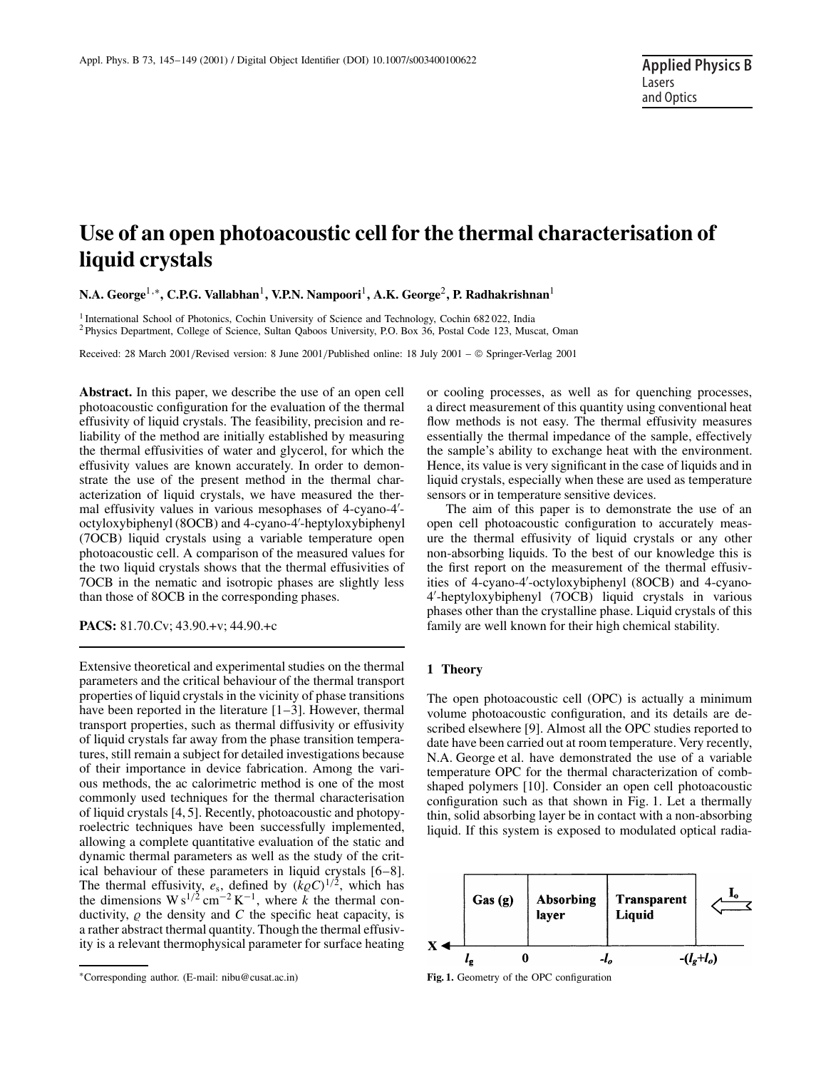# **Use of an open photoacoustic cell for the thermal characterisation of liquid crystals**

**N.A. George**1,∗**, C.P.G. Vallabhan**1**, V.P.N. Nampoori**1**, A.K. George**2**, P. Radhakrishnan**<sup>1</sup>

<sup>1</sup> International School of Photonics, Cochin University of Science and Technology, Cochin 682022, India <sup>2</sup> Physics Department, College of Science, Sultan Qaboos University, P.O. Box 36, Postal Code 123, Muscat, Oman

Received: 28 March 2001/Revised version: 8 June 2001/Published online: 18 July 2001 – © Springer-Verlag 2001

**Abstract.** In this paper, we describe the use of an open cell photoacoustic configuration for the evaluation of the thermal effusivity of liquid crystals. The feasibility, precision and reliability of the method are initially established by measuring the thermal effusivities of water and glycerol, for which the effusivity values are known accurately. In order to demonstrate the use of the present method in the thermal characterization of liquid crystals, we have measured the thermal effusivity values in various mesophases of 4-cyano-4- octyloxybiphenyl (8OCB) and 4-cyano-4'-heptyloxybiphenyl (7OCB) liquid crystals using a variable temperature open photoacoustic cell. A comparison of the measured values for the two liquid crystals shows that the thermal effusivities of 7OCB in the nematic and isotropic phases are slightly less than those of 8OCB in the corresponding phases.

**PACS:** 81.70.Cv; 43.90.+v; 44.90.+c

Extensive theoretical and experimental studies on the thermal parameters and the critical behaviour of the thermal transport properties of liquid crystals in the vicinity of phase transitions have been reported in the literature [1–3]. However, thermal transport properties, such as thermal diffusivity or effusivity of liquid crystals far away from the phase transition temperatures, still remain a subject for detailed investigations because of their importance in device fabrication. Among the various methods, the ac calorimetric method is one of the most commonly used techniques for the thermal characterisation of liquid crystals [4, 5]. Recently, photoacoustic and photopyroelectric techniques have been successfully implemented, allowing a complete quantitative evaluation of the static and dynamic thermal parameters as well as the study of the critical behaviour of these parameters in liquid crystals [6–8]. The thermal effusivity,  $e_s$ , defined by  $(k \rho C)^{1/2}$ , which has the dimensions  $W s^{1/2}$  cm<sup>-2</sup> K<sup>-1</sup>, where *k* the thermal conductivity,  $\rho$  the density and  $C$  the specific heat capacity, is a rather abstract thermal quantity. Though the thermal effusivity is a relevant thermophysical parameter for surface heating

∗Corresponding author. (E-mail: nibu@cusat.ac.in)

or cooling processes, as well as for quenching processes, a direct measurement of this quantity using conventional heat flow methods is not easy. The thermal effusivity measures essentially the thermal impedance of the sample, effectively the sample's ability to exchange heat with the environment. Hence, its value is very significant in the case of liquids and in liquid crystals, especially when these are used as temperature sensors or in temperature sensitive devices.

The aim of this paper is to demonstrate the use of an open cell photoacoustic configuration to accurately measure the thermal effusivity of liquid crystals or any other non-absorbing liquids. To the best of our knowledge this is the first report on the measurement of the thermal effusivities of 4-cyano-4'-octyloxybiphenyl (8OCB) and 4-cyano-4- -heptyloxybiphenyl (7OCB) liquid crystals in various phases other than the crystalline phase. Liquid crystals of this family are well known for their high chemical stability.

#### **1 Theory**

The open photoacoustic cell (OPC) is actually a minimum volume photoacoustic configuration, and its details are described elsewhere [9]. Almost all the OPC studies reported to date have been carried out at room temperature. Very recently, N.A. George et al. have demonstrated the use of a variable temperature OPC for the thermal characterization of combshaped polymers [10]. Consider an open cell photoacoustic configuration such as that shown in Fig. 1. Let a thermally thin, solid absorbing layer be in contact with a non-absorbing liquid. If this system is exposed to modulated optical radia-



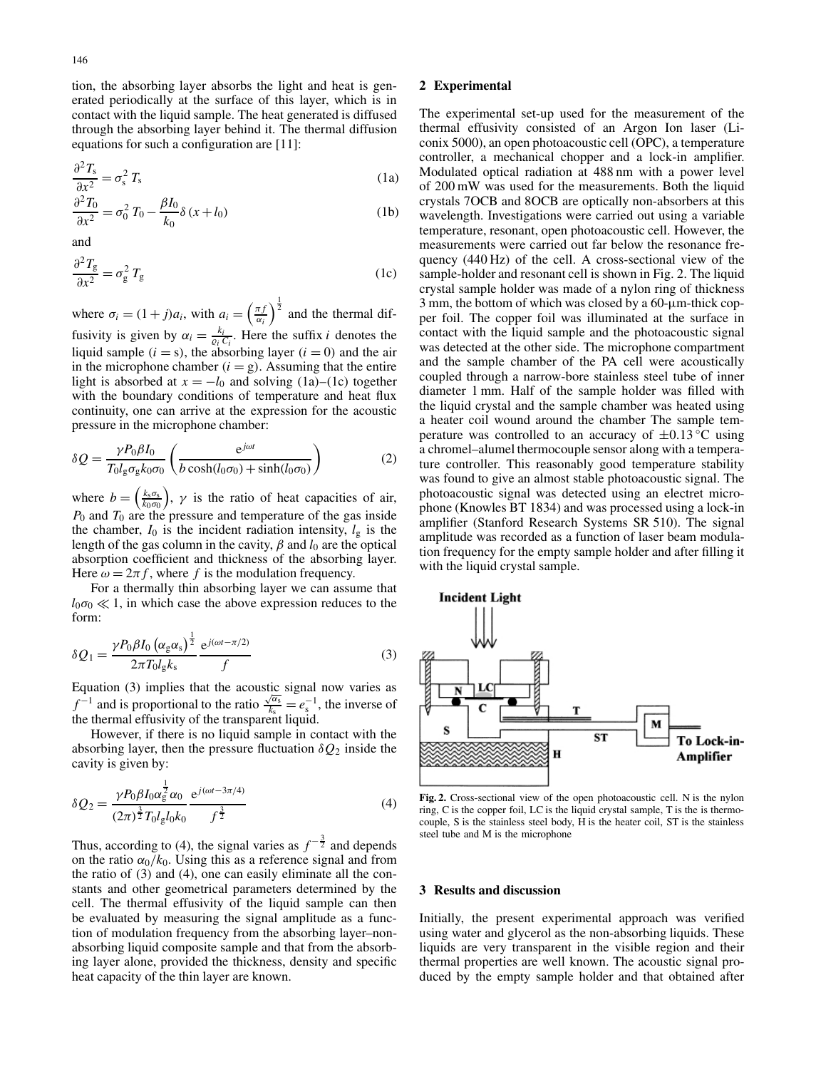tion, the absorbing layer absorbs the light and heat is generated periodically at the surface of this layer, which is in contact with the liquid sample. The heat generated is diffused through the absorbing layer behind it. The thermal diffusion equations for such a configuration are [11]:

$$
\frac{\partial^2 T_s}{\partial x^2} = \sigma_s^2 T_s \tag{1a}
$$

$$
\frac{\partial^2 T_0}{\partial x^2} = \sigma_0^2 T_0 - \frac{\beta I_0}{k_0} \delta (x + l_0)
$$
 (1b)

and

$$
\frac{\partial^2 T_{\rm g}}{\partial x^2} = \sigma_{\rm g}^2 \, T_{\rm g} \tag{1c}
$$

where  $\sigma_i = (1+j)a_i$ , with  $a_i = \left(\frac{\pi f}{\alpha_i}\right)^{\frac{1}{2}}$  and the thermal diffusivity is given by  $\alpha_i = \frac{k_i}{\varrho_i C_i}$ . Here the suffix *i* denotes the liquid sample  $(i = s)$ , the absorbing layer  $(i = 0)$  and the air in the microphone chamber  $(i = g)$ . Assuming that the entire light is absorbed at  $x = -l_0$  and solving (1a)–(1c) together with the boundary conditions of temperature and heat flux continuity, one can arrive at the expression for the acoustic pressure in the microphone chamber:

$$
\delta Q = \frac{\gamma P_0 \beta I_0}{T_0 l_g \sigma_g k_0 \sigma_0} \left( \frac{e^{j\omega t}}{b \cosh(l_0 \sigma_0) + \sinh(l_0 \sigma_0)} \right)
$$
(2)

where  $b = \left(\frac{k_s \sigma_s}{k_0 \sigma_0}\right)$ ,  $\gamma$  is the ratio of heat capacities of air, *P*<sup>0</sup> and *T*<sup>0</sup> are the pressure and temperature of the gas inside the chamber,  $I_0$  is the incident radiation intensity,  $I_g$  is the length of the gas column in the cavity,  $\beta$  and  $l_0$  are the optical absorption coefficient and thickness of the absorbing layer. Here  $\omega = 2\pi f$ , where f is the modulation frequency.

For a thermally thin absorbing layer we can assume that  $l_0\sigma_0 \ll 1$ , in which case the above expression reduces to the form:

$$
\delta Q_1 = \frac{\gamma P_0 \beta I_0 \left(\alpha_{\rm g} \alpha_{\rm s}\right)^{\frac{1}{2}}}{2\pi T_0 l_{\rm g} k_{\rm s}} \frac{\mathrm{e}^{j(\omega t - \pi/2)}}{f} \tag{3}
$$

Equation (3) implies that the acoustic signal now varies as  $f^{-1}$  and is proportional to the ratio  $\frac{\sqrt{\alpha_s}}{k_s} = e^{-1}$ , the inverse of the thermal effusivity of the transparent liquid.

However, if there is no liquid sample in contact with the absorbing layer, then the pressure fluctuation  $\delta Q_2$  inside the cavity is given by:

$$
\delta Q_2 = \frac{\gamma P_0 \beta I_0 \alpha_g^{\frac{1}{2}} \alpha_0}{(2\pi)^{\frac{3}{2}} T_0 l_g l_0 k_0} \frac{e^{j(\omega t - 3\pi/4)}}{f^{\frac{3}{2}}}
$$
(4)

Thus, according to (4), the signal varies as  $f^{-\frac{3}{2}}$  and depends on the ratio  $\alpha_0/k_0$ . Using this as a reference signal and from the ratio of (3) and (4), one can easily eliminate all the constants and other geometrical parameters determined by the cell. The thermal effusivity of the liquid sample can then be evaluated by measuring the signal amplitude as a function of modulation frequency from the absorbing layer–nonabsorbing liquid composite sample and that from the absorbing layer alone, provided the thickness, density and specific heat capacity of the thin layer are known.

## **2 Experimental**

The experimental set-up used for the measurement of the thermal effusivity consisted of an Argon Ion laser (Liconix 5000), an open photoacoustic cell (OPC), a temperature controller, a mechanical chopper and a lock-in amplifier. Modulated optical radiation at 488 nm with a power level of 200 mW was used for the measurements. Both the liquid crystals 7OCB and 8OCB are optically non-absorbers at this wavelength. Investigations were carried out using a variable temperature, resonant, open photoacoustic cell. However, the measurements were carried out far below the resonance frequency (440 Hz) of the cell. A cross-sectional view of the sample-holder and resonant cell is shown in Fig. 2. The liquid crystal sample holder was made of a nylon ring of thickness 3 mm, the bottom of which was closed by a 60-µm-thick copper foil. The copper foil was illuminated at the surface in contact with the liquid sample and the photoacoustic signal was detected at the other side. The microphone compartment and the sample chamber of the PA cell were acoustically coupled through a narrow-bore stainless steel tube of inner diameter 1 mm. Half of the sample holder was filled with the liquid crystal and the sample chamber was heated using a heater coil wound around the chamber The sample temperature was controlled to an accuracy of  $\pm 0.13$  °C using a chromel–alumel thermocouple sensor along with a temperature controller. This reasonably good temperature stability was found to give an almost stable photoacoustic signal. The photoacoustic signal was detected using an electret microphone (Knowles BT 1834) and was processed using a lock-in amplifier (Stanford Research Systems SR 510). The signal amplitude was recorded as a function of laser beam modulation frequency for the empty sample holder and after filling it with the liquid crystal sample.



**Fig. 2.** Cross-sectional view of the open photoacoustic cell. N is the nylon ring, C is the copper foil, LC is the liquid crystal sample, T is the is thermocouple, S is the stainless steel body, H is the heater coil, ST is the stainless steel tube and M is the microphone

### **3 Results and discussion**

Initially, the present experimental approach was verified using water and glycerol as the non-absorbing liquids. These liquids are very transparent in the visible region and their thermal properties are well known. The acoustic signal produced by the empty sample holder and that obtained after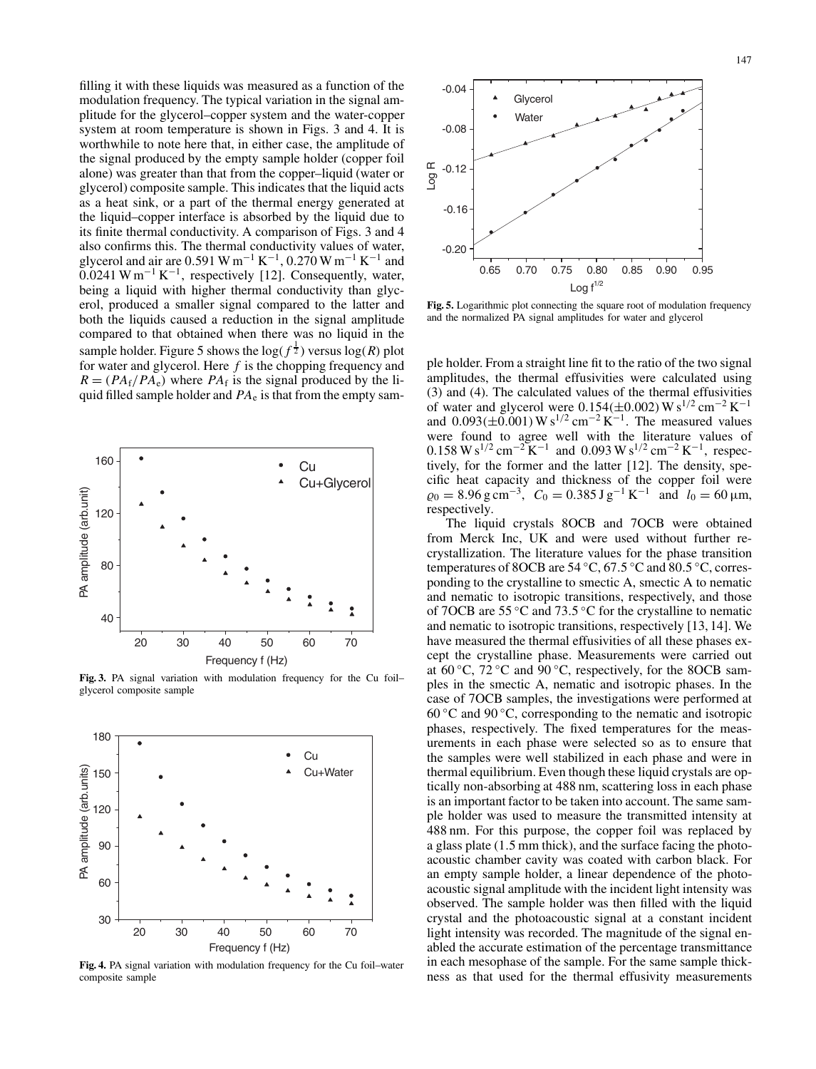filling it with these liquids was measured as a function of the modulation frequency. The typical variation in the signal amplitude for the glycerol–copper system and the water-copper system at room temperature is shown in Figs. 3 and 4. It is worthwhile to note here that, in either case, the amplitude of the signal produced by the empty sample holder (copper foil alone) was greater than that from the copper–liquid (water or glycerol) composite sample. This indicates that the liquid acts as a heat sink, or a part of the thermal energy generated at the liquid–copper interface is absorbed by the liquid due to its finite thermal conductivity. A comparison of Figs. 3 and 4 also confirms this. The thermal conductivity values of water, glycerol and air are 0.591 W m<sup>-1</sup> K<sup>-1</sup>, 0.270 W m<sup>-1</sup> K<sup>-1</sup> and  $0.0241 \text{ W m}^{-1} \text{ K}^{-1}$ , respectively [12]. Consequently, water, being a liquid with higher thermal conductivity than glycerol, produced a smaller signal compared to the latter and both the liquids caused a reduction in the signal amplitude compared to that obtained when there was no liquid in the sample holder. Figure 5 shows the  $log(f^{\frac{1}{2}})$  versus  $log(R)$  plot for water and glycerol. Here *f* is the chopping frequency and  $R = (PA_f/PA_e)$  where  $PA_f$  is the signal produced by the liquid filled sample holder and  $PA_e$  is that from the empty sam-



**Fig. 3.** PA signal variation with modulation frequency for the Cu foil– glycerol composite sample



**Fig. 4.** PA signal variation with modulation frequency for the Cu foil–water composite sample



**Fig. 5.** Logarithmic plot connecting the square root of modulation frequency and the normalized PA signal amplitudes for water and glycerol

ple holder. From a straight line fit to the ratio of the two signal amplitudes, the thermal effusivities were calculated using (3) and (4). The calculated values of the thermal effusivities of water and glycerol were  $0.154(\pm 0.002)$  W s<sup>1/2</sup> cm<sup>-2</sup> K<sup>-1</sup> and  $0.093(\pm 0.001) W s^{1/2} cm^{-2} K^{-1}$ . The measured values were found to agree well with the literature values of  $0.158 \text{ W s}^{1/2} \text{ cm}^{-2} \text{ K}^{-1}$  and  $0.093 \text{ W s}^{1/2} \text{ cm}^{-2} \text{ K}^{-1}$ , respectively, for the former and the latter [12]. The density, specific heat capacity and thickness of the copper foil were  $\varrho_0 = 8.96 \text{ g cm}^{-3}$ ,  $C_0 = 0.385 \text{ J g}^{-1} \text{ K}^{-1}$  and  $l_0 = 60 \text{ }\mu\text{m}$ , respectively.

The liquid crystals 8OCB and 7OCB were obtained from Merck Inc, UK and were used without further recrystallization. The literature values for the phase transition temperatures of 8OCB are 54 ◦C, 67.5 ◦C and 80.5 ◦C, corresponding to the crystalline to smectic A, smectic A to nematic and nematic to isotropic transitions, respectively, and those of 7OCB are 55 ◦C and 73.5 ◦C for the crystalline to nematic and nematic to isotropic transitions, respectively [13, 14]. We have measured the thermal effusivities of all these phases except the crystalline phase. Measurements were carried out at 60  $\degree$ C, 72  $\degree$ C and 90  $\degree$ C, respectively, for the 8OCB samples in the smectic A, nematic and isotropic phases. In the case of 7OCB samples, the investigations were performed at 60 °C and 90 °C, corresponding to the nematic and isotropic phases, respectively. The fixed temperatures for the measurements in each phase were selected so as to ensure that the samples were well stabilized in each phase and were in thermal equilibrium. Even though these liquid crystals are optically non-absorbing at 488 nm, scattering loss in each phase is an important factor to be taken into account. The same sample holder was used to measure the transmitted intensity at 488 nm. For this purpose, the copper foil was replaced by a glass plate (1.5 mm thick), and the surface facing the photoacoustic chamber cavity was coated with carbon black. For an empty sample holder, a linear dependence of the photoacoustic signal amplitude with the incident light intensity was observed. The sample holder was then filled with the liquid crystal and the photoacoustic signal at a constant incident light intensity was recorded. The magnitude of the signal enabled the accurate estimation of the percentage transmittance in each mesophase of the sample. For the same sample thickness as that used for the thermal effusivity measurements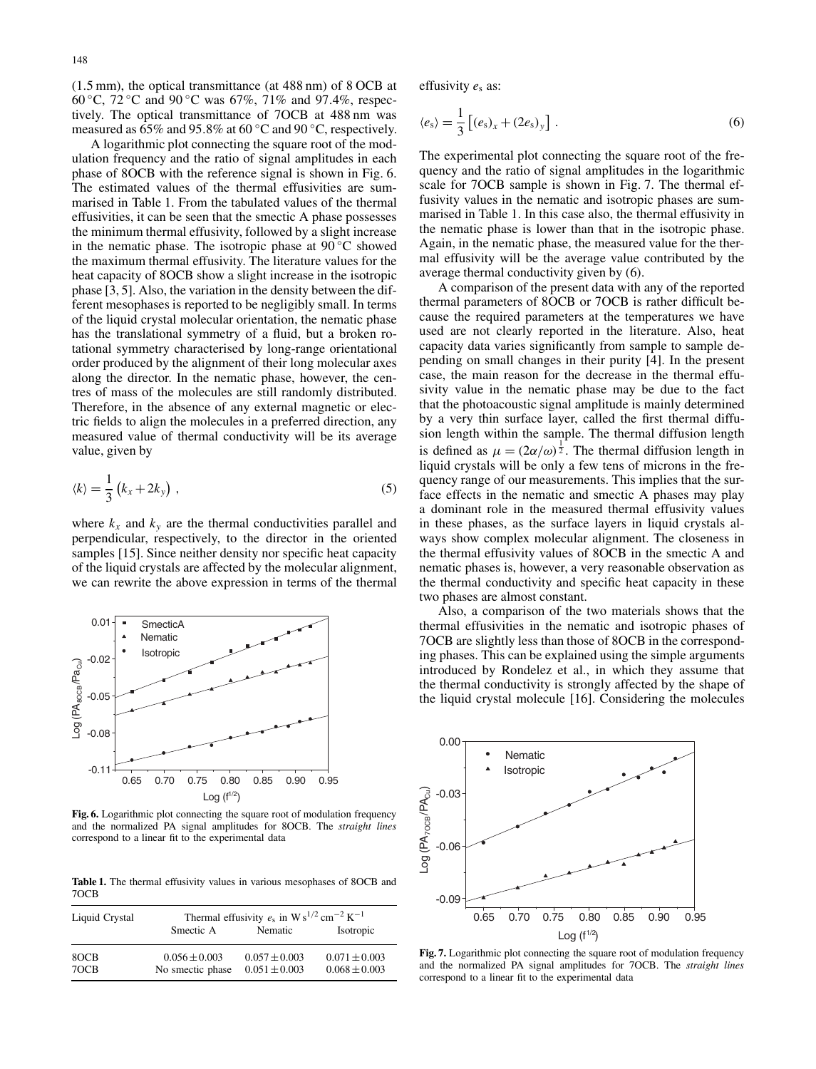(1.5 mm), the optical transmittance (at 488 nm) of 8 OCB at 60 ◦C, 72 ◦C and 90 ◦C was 67%, 71% and 97.4%, respectively. The optical transmittance of 7OCB at 488 nm was measured as 65% and 95.8% at 60 ◦C and 90 ◦C, respectively.

A logarithmic plot connecting the square root of the modulation frequency and the ratio of signal amplitudes in each phase of 8OCB with the reference signal is shown in Fig. 6. The estimated values of the thermal effusivities are summarised in Table 1. From the tabulated values of the thermal effusivities, it can be seen that the smectic A phase possesses the minimum thermal effusivity, followed by a slight increase in the nematic phase. The isotropic phase at  $90^{\circ}$ C showed the maximum thermal effusivity. The literature values for the heat capacity of 8OCB show a slight increase in the isotropic phase [3, 5]. Also, the variation in the density between the different mesophases is reported to be negligibly small. In terms of the liquid crystal molecular orientation, the nematic phase has the translational symmetry of a fluid, but a broken rotational symmetry characterised by long-range orientational order produced by the alignment of their long molecular axes along the director. In the nematic phase, however, the centres of mass of the molecules are still randomly distributed. Therefore, in the absence of any external magnetic or electric fields to align the molecules in a preferred direction, any measured value of thermal conductivity will be its average value, given by

$$
\langle k \rangle = \frac{1}{3} \left( k_x + 2k_y \right) , \tag{5}
$$

where  $k_x$  and  $k_y$  are the thermal conductivities parallel and perpendicular, respectively, to the director in the oriented samples [15]. Since neither density nor specific heat capacity of the liquid crystals are affected by the molecular alignment, we can rewrite the above expression in terms of the thermal



**Fig. 6.** Logarithmic plot connecting the square root of modulation frequency and the normalized PA signal amplitudes for 8OCB. The *straight lines* correspond to a linear fit to the experimental data

**Table 1.** The thermal effusivity values in various mesophases of 8OCB and 7OCB

| Liquid Crystal | Thermal effusivity $e_s$ in W s <sup>1/2</sup> cm <sup>-2</sup> K <sup>-1</sup> |                                        |                                        |
|----------------|---------------------------------------------------------------------------------|----------------------------------------|----------------------------------------|
|                | Smectic A                                                                       | Nematic                                | Isotropic                              |
| 8OCB<br>70CB   | $0.056 \pm 0.003$<br>No smectic phase                                           | $0.057 \pm 0.003$<br>$0.051 \pm 0.003$ | $0.071 \pm 0.003$<br>$0.068 \pm 0.003$ |

effusivity  $e_s$  as:

$$
\langle e_{s} \rangle = \frac{1}{3} \left[ (e_{s})_{x} + (2e_{s})_{y} \right]. \tag{6}
$$

The experimental plot connecting the square root of the frequency and the ratio of signal amplitudes in the logarithmic scale for 7OCB sample is shown in Fig. 7. The thermal effusivity values in the nematic and isotropic phases are summarised in Table 1. In this case also, the thermal effusivity in the nematic phase is lower than that in the isotropic phase. Again, in the nematic phase, the measured value for the thermal effusivity will be the average value contributed by the average thermal conductivity given by (6).

A comparison of the present data with any of the reported thermal parameters of 8OCB or 7OCB is rather difficult because the required parameters at the temperatures we have used are not clearly reported in the literature. Also, heat capacity data varies significantly from sample to sample depending on small changes in their purity [4]. In the present case, the main reason for the decrease in the thermal effusivity value in the nematic phase may be due to the fact that the photoacoustic signal amplitude is mainly determined by a very thin surface layer, called the first thermal diffusion length within the sample. The thermal diffusion length is defined as  $\mu = (2\alpha/\omega)^{\frac{1}{2}}$ . The thermal diffusion length in liquid crystals will be only a few tens of microns in the frequency range of our measurements. This implies that the surface effects in the nematic and smectic A phases may play a dominant role in the measured thermal effusivity values in these phases, as the surface layers in liquid crystals always show complex molecular alignment. The closeness in the thermal effusivity values of 8OCB in the smectic A and nematic phases is, however, a very reasonable observation as the thermal conductivity and specific heat capacity in these two phases are almost constant.

Also, a comparison of the two materials shows that the thermal effusivities in the nematic and isotropic phases of 7OCB are slightly less than those of 8OCB in the corresponding phases. This can be explained using the simple arguments introduced by Rondelez et al., in which they assume that the thermal conductivity is strongly affected by the shape of the liquid crystal molecule [16]. Considering the molecules



**Fig. 7.** Logarithmic plot connecting the square root of modulation frequency and the normalized PA signal amplitudes for 7OCB. The *straight lines* correspond to a linear fit to the experimental data